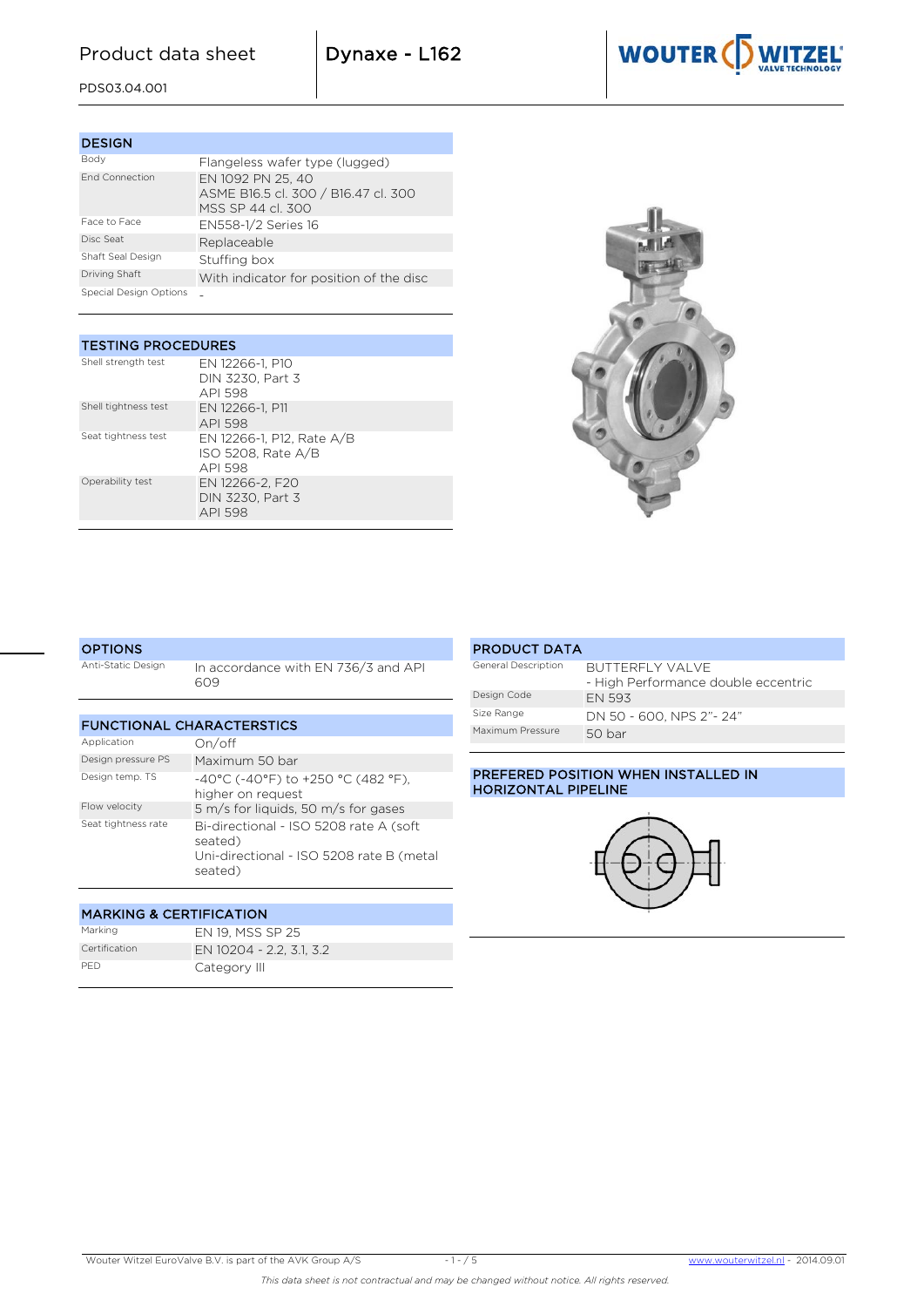# Product data sheet  $|$  Dynaxe - L162

PDS03.04.001

| <b>DESIGN</b>          |                                                                               |
|------------------------|-------------------------------------------------------------------------------|
| Body                   | Flangeless wafer type (lugged)                                                |
| <b>End Connection</b>  | EN 1092 PN 25, 40<br>ASME B16.5 cl. 300 / B16.47 cl. 300<br>MSS SP 44 cl. 300 |
| Face to Face           | EN558-1/2 Series 16                                                           |
| Disc Seat              | Replaceable                                                                   |
| Shaft Seal Design      | Stuffing box                                                                  |
| Driving Shaft          | With indicator for position of the disc                                       |
| Special Design Options |                                                                               |

#### TESTING PROCEDURES

| Shell strength test  | EN 12266-1, P10<br>DIN 3230. Part 3<br>API 598             |
|----------------------|------------------------------------------------------------|
| Shell tightness test | EN 12266-1, P11<br>API 598                                 |
| Seat tightness test  | EN 12266-1, P12, Rate A/B<br>ISO 5208, Rate A/B<br>API 598 |
| Operability test     | EN 12266-2, F20<br>DIN 3230, Part 3<br>API 598             |



#### **OPTIONS** Anti-Static Design In accordance with EN 736/3 and API 609

| <b>FUNCTIONAL CHARACTERSTICS</b> |                                                                                                          |  |  |  |  |  |  |  |
|----------------------------------|----------------------------------------------------------------------------------------------------------|--|--|--|--|--|--|--|
| Application                      | On/off                                                                                                   |  |  |  |  |  |  |  |
| Design pressure PS               | Maximum 50 bar                                                                                           |  |  |  |  |  |  |  |
| Design temp. TS                  | $-40^{\circ}$ C (-40°F) to +250 °C (482 °F).<br>higher on request                                        |  |  |  |  |  |  |  |
| Flow velocity                    | 5 m/s for liquids, 50 m/s for gases                                                                      |  |  |  |  |  |  |  |
| Seat tightness rate              | Bi-directional - ISO 5208 rate A (soft<br>seated)<br>Uni-directional - ISO 5208 rate B (metal<br>seated) |  |  |  |  |  |  |  |

## MARKING & CERTIFICATION Marking EN 19, MSS SP 25 Certification EN 10204 - 2.2, 3.1, 3.2 PED Category III

#### PRODUCT DATA General Description **BUTTERFLY VALVE** - High Performance double eccentric Design Code EN 593 Size Range **DN 50 - 600, NPS 2"- 24"** Maximum Pressure 50 bar

#### PREFERED POSITION WHEN INSTALLED IN HORIZONTAL PIPELINE





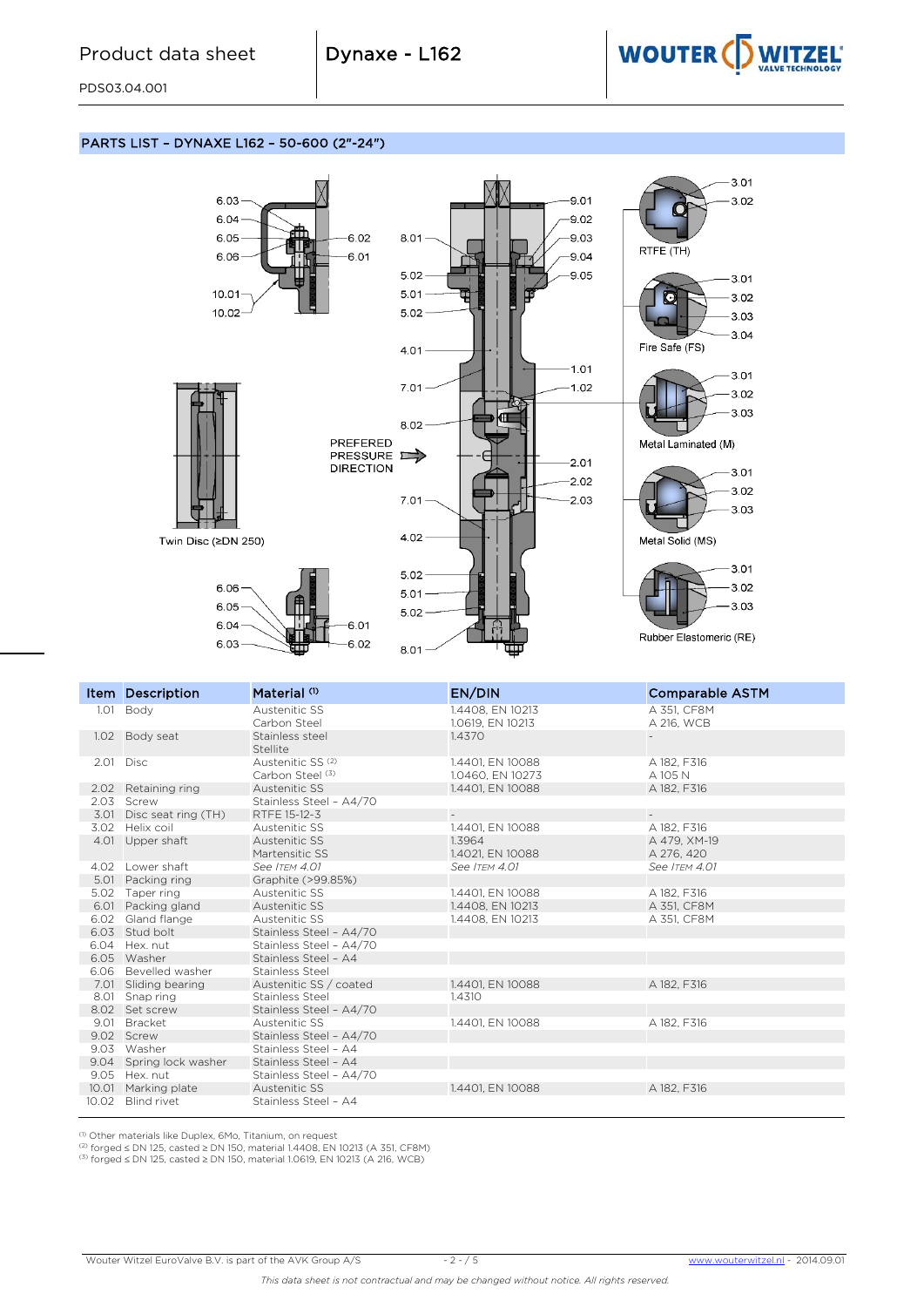

 $3.01$ 

 $3.02$ 

 $3.01$ 

 $3.02$ 

 $3.03$  $3.04$ 

 $-3.01$ 

 $3.02$  $-3.03$ 

 $-3.01$ 

 $3.02$ 

 $3.03$ 

 $-3.01$ 

 $3.02$ 

 $3.03$ 

PDS03.04.001

### PARTS LIST – DYNAXE L162 – 50-600 (2"-24")



|       | <b>Item Description</b>  | Material <sup>(1)</sup>                          | EN/DIN                               | <b>Comparable ASTM</b>     |
|-------|--------------------------|--------------------------------------------------|--------------------------------------|----------------------------|
|       | 1.01 Body                | <b>Austenitic SS</b><br>Carbon Steel             | 1.4408, EN 10213<br>1.0619, EN 10213 | A 351, CF8M<br>A 216, WCB  |
|       | 1.02 Body seat           | Stainless steel<br>Stellite                      | 1.4370                               |                            |
|       | 2.01 Disc                | Austenitic SS <sup>(2)</sup><br>Carbon Steel (3) | 1.4401, EN 10088<br>1.0460, EN 10273 | A 182, F316<br>A 105 N     |
|       | 2.02 Retaining ring      | Austenitic SS                                    | 1.4401, EN 10088                     | A 182, F316                |
|       | 2.03 Screw               | Stainless Steel - A4/70                          |                                      |                            |
|       | 3.01 Disc seat ring (TH) | RTFE 15-12-3                                     | $\equiv$                             |                            |
|       | 3.02 Helix coil          | Austenitic SS                                    | 1.4401, EN 10088                     | A 182, F316                |
|       | 4.01 Upper shaft         | Austenitic SS<br>Martensitic SS                  | 1.3964<br>1.4021, EN 10088           | A 479, XM-19<br>A 276, 420 |
|       | 4.02 Lower shaft         | See ITEM 4.01                                    | See ITEM 4.01                        | See ITEM 4.01              |
|       | 5.01 Packing ring        | Graphite (>99.85%)                               |                                      |                            |
|       | 5.02 Taper ring          | Austenitic SS                                    | 1.4401, EN 10088                     | A 182, F316                |
|       | 6.01 Packing gland       | Austenitic SS                                    | 1.4408, EN 10213                     | A 351, CF8M                |
|       | 6.02 Gland flange        | Austenitic SS                                    | 1.4408, EN 10213                     | A 351, CF8M                |
|       | 6.03 Stud bolt           | Stainless Steel - A4/70                          |                                      |                            |
|       | 6.04 Hex. nut            | Stainless Steel - A4/70                          |                                      |                            |
|       | 6.05 Washer              | Stainless Steel - A4                             |                                      |                            |
|       | 6.06 Bevelled washer     | Stainless Steel                                  |                                      |                            |
|       | 7.01 Sliding bearing     | Austenitic SS / coated                           | 1.4401, EN 10088                     | A 182, F316                |
|       | 8.01 Snap ring           | Stainless Steel                                  | 1.4310                               |                            |
|       | 8.02 Set screw           | Stainless Steel - A4/70                          |                                      |                            |
|       | 9.01 Bracket             | Austenitic SS                                    | 1.4401, EN 10088                     | A 182, F316                |
|       | 9.02 Screw               | Stainless Steel - A4/70                          |                                      |                            |
|       | 9.03 Washer              | Stainless Steel - A4                             |                                      |                            |
|       | 9.04 Spring lock washer  | Stainless Steel - A4                             |                                      |                            |
|       | 9.05 Hex. nut            | Stainless Steel - A4/70                          |                                      |                            |
|       | 10.01 Marking plate      | Austenitic SS                                    | 1.4401, EN 10088                     | A 182, F316                |
| 10.02 | <b>Blind rivet</b>       | Stainless Steel - A4                             |                                      |                            |

<sup>(1)</sup> Other materials like Duplex, 6Mo, Titanium, on request<br><sup>(2)</sup> forged ≤ DN 125, casted ≥ DN 150, material 1.4408, EN 10213 (A 351, CF8M)<br><sup>(3)</sup> forged ≤ DN 125, casted ≥ DN 150, material 1.0619, EN 10213 (A 216, WCB)

Wouter Witzel EuroValve B.V. is part of the AVK Group A/S - 2 - / 5 [www.wouterwitzel.nl](http://www.wouterwitzel.nl/) *-* 2014.09.01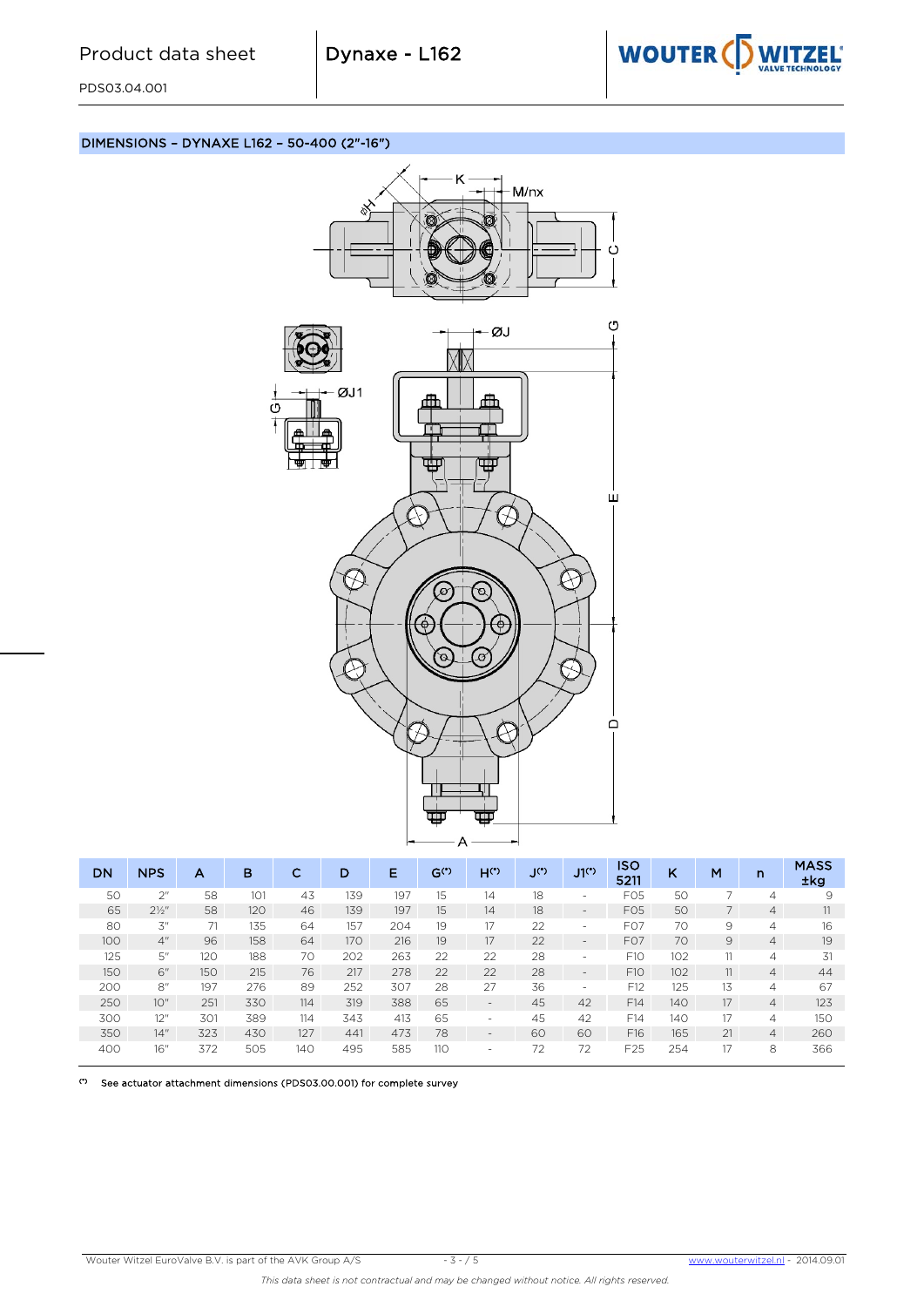

PDS03.04.001

# DIMENSIONS – DYNAXE L162 – 50-400 (2"-16")



| DN  | <b>NPS</b>       | А   | в   | С   | D   | Е   | $G^{(*)}$ | $H^{(*)}$                | ၂(°) | J1 <sup>th</sup>             | <b>ISO</b><br>5211 | ĸ   | M  | n              | <b>MASS</b><br>±kg |
|-----|------------------|-----|-----|-----|-----|-----|-----------|--------------------------|------|------------------------------|--------------------|-----|----|----------------|--------------------|
| 50  | 2 <sup>n</sup>   | 58  | 101 | 43  | 139 | 197 | 15        | 14                       | 18   | $\overline{\phantom{0}}$     | F <sub>05</sub>    | 50  |    | 4              | 9                  |
| 65  | $2\frac{1}{2}$ " | 58  | 120 | 46  | 139 | 197 | 15        | 14                       | 18   | -                            | F <sub>05</sub>    | 50  |    | 4              |                    |
| 80  | 3"               | 71  | 135 | 64  | 157 | 204 | 19        | 17                       | 22   | $\qquad \qquad \blacksquare$ | F <sub>O</sub> 7   | 70  | 9  | 4              | 16                 |
| 100 | 4 <sup>''</sup>  | 96  | 158 | 64  | 170 | 216 | 19        | 17                       | 22   | -                            | F <sub>O</sub> 7   | 70  | 9  | 4              | 19                 |
| 125 | 5"               | 120 | 188 | 70  | 202 | 263 | 22        | 22                       | 28   | $\overline{\phantom{0}}$     | F10                | 102 | 11 | 4              | 31                 |
| 150 | 6"               | 150 | 215 | 76  | 217 | 278 | 22        | 22                       | 28   | -                            | F <sub>10</sub>    | 102 | 11 | 4              | 44                 |
| 200 | 8''              | 197 | 276 | 89  | 252 | 307 | 28        | 27                       | 36   | -                            | F12                | 125 | 13 | 4              | 67                 |
| 250 | 10"              | 251 | 330 | 114 | 319 | 388 | 65        | ۰.                       | 45   | 42                           | F14                | 140 | 17 | $\overline{4}$ | 123                |
| 300 | 12"              | 301 | 389 | 114 | 343 | 413 | 65        | -                        | 45   | 42                           | F14                | 140 | 17 | 4              | 150                |
| 350 | 14"              | 323 | 430 | 127 | 441 | 473 | 78        | ۰.                       | 60   | 60                           | F16                | 165 | 21 | $\overline{4}$ | 260                |
| 400 | 16"              | 372 | 505 | 140 | 495 | 585 | 110       | $\overline{\phantom{0}}$ | 72   | 72                           | F <sub>25</sub>    | 254 | 17 | 8              | 366                |

(\*) See actuator attachment dimensions (PDS03.00.001) for complete survey

Wouter Witzel EuroValve B.V. is part of the AVK Group A/S - 3 - / 5 [www.wouterwitzel.nl](http://www.wouterwitzel.nl/) *-* 2014.09.01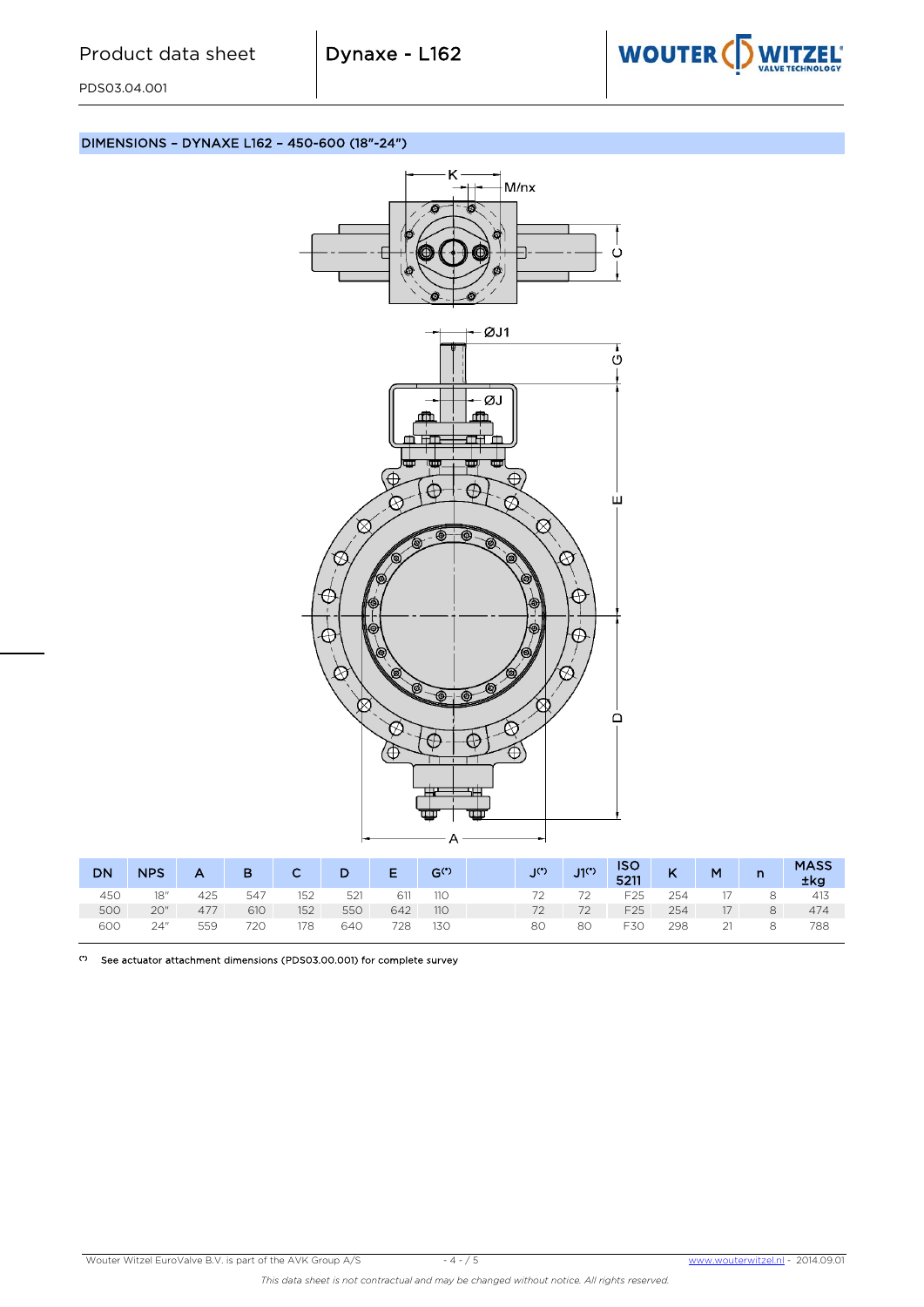

PDS03.04.001

DIMENSIONS – DYNAXE L162 – 450-600 (18"-24")



| <b>DN</b> | <b>NPS</b> | A   | B   | $\mathsf{C}$ | D   | E.  | $G^{(*)}$ | $\mathcal{C}$ | $J1(*)$ | <b>ISO</b><br>5211 | $\mathsf{K}$ | M  | $\mathsf{n}$ | <b>MASS</b><br>±kg |
|-----------|------------|-----|-----|--------------|-----|-----|-----------|---------------|---------|--------------------|--------------|----|--------------|--------------------|
| 450       | 18"        | 425 | 547 | 152          | 521 | 611 | 110       | 72.           | 72      | F <sub>25</sub>    | 254          |    | 8            | 413                |
| 500       | 20"        | 477 | 610 | 152          | 550 | 642 | 110       | 72            | 72      | F <sub>25</sub>    | 254          | 17 | 8            | 474                |
| 600       | 24"        | 559 | 720 | 178          | 640 | 728 | 130       | 80            | 80      | F30                | 298          |    | 8            | 788                |

(\*) See actuator attachment dimensions (PDS03.00.001) for complete survey